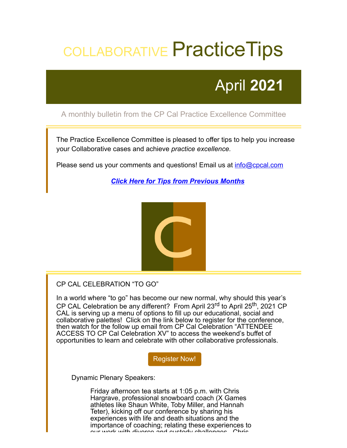# COLLABORATIVE Practice Tips

# April **2021**

## A monthly bulletin from the CP Cal Practice Excellence Committee

The Practice Excellence Committee is pleased to offer tips to help you increase your Collaborative cases and achieve *practice excellence.*

Please send us your comments and questions! Email us at *[info@cpcal.com](mailto:info@cpcal.com)* 

*[Click Here for Tips from Previous Months](http://www.cpcal.com/for-professionals/practice-tips-newsletter/)*



### CP CAL CELEBRATION "TO GO"

In a world where "to go" has become our new normal, why should this year's CP CAL Celebration be any different? From April 23<sup>rd</sup> to April 25<sup>th</sup>, 2021 CP CAL is serving up a menu of options to fill up our educational, social and collaborative palettes! Click on the link below to register for the conference, then watch for the follow up email from CP Cal Celebration "ATTENDEE ACCESS TO CP Cal Celebration XV" to access the weekend's buffet of opportunities to learn and celebrate with other collaborative professionals.

[Register Now!](https://www.cpcal.com/cp-cal-annual-conference/)

Dynamic Plenary Speakers:

Friday afternoon tea starts at 1:05 p.m. with Chris Hargrave, professional snowboard coach (X Games athletes like Shaun White, Toby Miller, and Hannah Teter), kicking off our conference by sharing his experiences with life and death situations and the importance of coaching; relating these experiences to our work with divorce and custody challenges Chris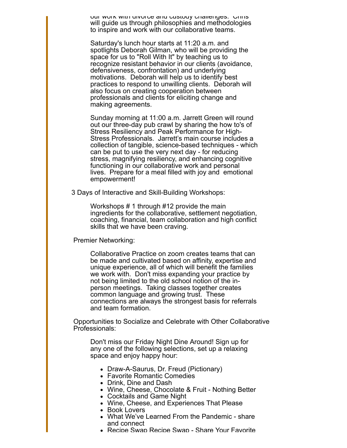our work with divorce and custody challenges. Chris will guide us through philosophies and methodologies to inspire and work with our collaborative teams.

Saturday's lunch hour starts at 11:20 a.m. and spotlights Deborah Gilman, who will be providing the space for us to "Roll With It" by teaching us to recognize resistant behavior in our clients (avoidance, defensiveness, confrontation) and underlying motivations. Deborah will help us to identify best practices to respond to unwilling clients. Deborah will also focus on creating cooperation between professionals and clients for eliciting change and making agreements.

Sunday morning at 11:00 a.m. Jarrett Green will round out our three-day pub crawl by sharing the how to's of Stress Resiliency and Peak Performance for High-Stress Professionals. Jarrett's main course includes a collection of tangible, science-based techniques - which can be put to use the very next day - for reducing stress, magnifying resiliency, and enhancing cognitive functioning in our collaborative work and personal lives. Prepare for a meal filled with joy and emotional empowerment!

3 Days of Interactive and Skill-Building Workshops:

Workshops # 1 through #12 provide the main ingredients for the collaborative, settlement negotiation, coaching, financial, team collaboration and high conflict skills that we have been craving.

Premier Networking:

Collaborative Practice on zoom creates teams that can be made and cultivated based on affinity, expertise and unique experience, all of which will benefit the families we work with. Don't miss expanding your practice by not being limited to the old school notion of the inperson meetings. Taking classes together creates common language and growing trust. These connections are always the strongest basis for referrals and team formation.

Opportunities to Socialize and Celebrate with Other Collaborative Professionals:

Don't miss our Friday Night Dine Around! Sign up for any one of the following selections, set up a relaxing space and enjoy happy hour:

- Draw-A-Saurus, Dr. Freud (Pictionary)
- Favorite Romantic Comedies
- Drink, Dine and Dash
- Wine, Cheese, Chocolate & Fruit Nothing Better
- Cocktails and Game Night
- Wine, Cheese, and Experiences That Please
- Book Lovers
- What We've Learned From the Pandemic share and connect
- Recipe Swap Recipe Swap Share Your Favorite